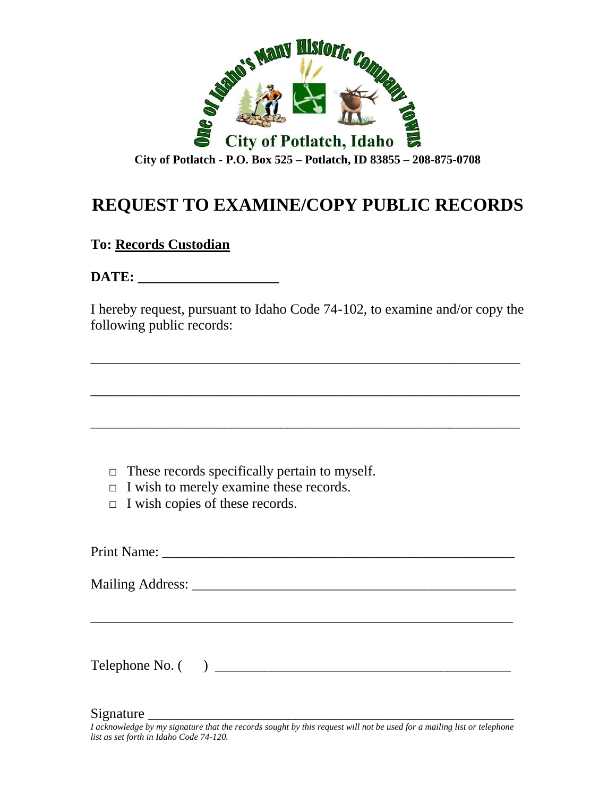

## **REQUEST TO EXAMINE/COPY PUBLIC RECORDS**

## **To: Records Custodian**

DATE:

I hereby request, pursuant to Idaho Code 74-102, to examine and/or copy the following public records:

\_\_\_\_\_\_\_\_\_\_\_\_\_\_\_\_\_\_\_\_\_\_\_\_\_\_\_\_\_\_\_\_\_\_\_\_\_\_\_\_\_\_\_\_\_\_\_\_\_\_\_\_\_\_\_\_\_\_\_\_\_

\_\_\_\_\_\_\_\_\_\_\_\_\_\_\_\_\_\_\_\_\_\_\_\_\_\_\_\_\_\_\_\_\_\_\_\_\_\_\_\_\_\_\_\_\_\_\_\_\_\_\_\_\_\_\_\_\_\_\_\_\_

\_\_\_\_\_\_\_\_\_\_\_\_\_\_\_\_\_\_\_\_\_\_\_\_\_\_\_\_\_\_\_\_\_\_\_\_\_\_\_\_\_\_\_\_\_\_\_\_\_\_\_\_\_\_\_\_\_\_\_\_\_

- $\Box$  These records specifically pertain to myself.
- $\Box$  I wish to merely examine these records.
- $\Box$  I wish copies of these records.

Print Name: \_\_\_\_\_\_\_\_\_\_\_\_\_\_\_\_\_\_\_\_\_\_\_\_\_\_\_\_\_\_\_\_\_\_\_\_\_\_\_\_\_\_\_\_\_\_\_\_\_\_ Mailing Address: \_\_\_\_\_\_\_\_\_\_\_\_\_\_\_\_\_\_\_\_\_\_\_\_\_\_\_\_\_\_\_\_\_\_\_\_\_\_\_\_\_\_\_\_\_\_ \_\_\_\_\_\_\_\_\_\_\_\_\_\_\_\_\_\_\_\_\_\_\_\_\_\_\_\_\_\_\_\_\_\_\_\_\_\_\_\_\_\_\_\_\_\_\_\_\_\_\_\_\_\_\_\_\_\_\_\_ Telephone No. ( ) \_\_\_\_\_\_\_\_\_\_\_\_\_\_\_\_\_\_\_\_\_\_\_\_\_\_\_\_\_\_\_\_\_\_\_\_\_\_\_\_\_\_

Signature \_\_\_\_\_\_\_\_\_\_\_\_\_\_\_\_\_\_\_\_\_\_\_\_\_\_\_\_\_\_\_\_\_\_\_\_\_\_\_\_\_\_\_\_\_\_\_\_\_\_\_\_

*I acknowledge by my signature that the records sought by this request will not be used for a mailing list or telephone list as set forth in Idaho Code 74-120.*